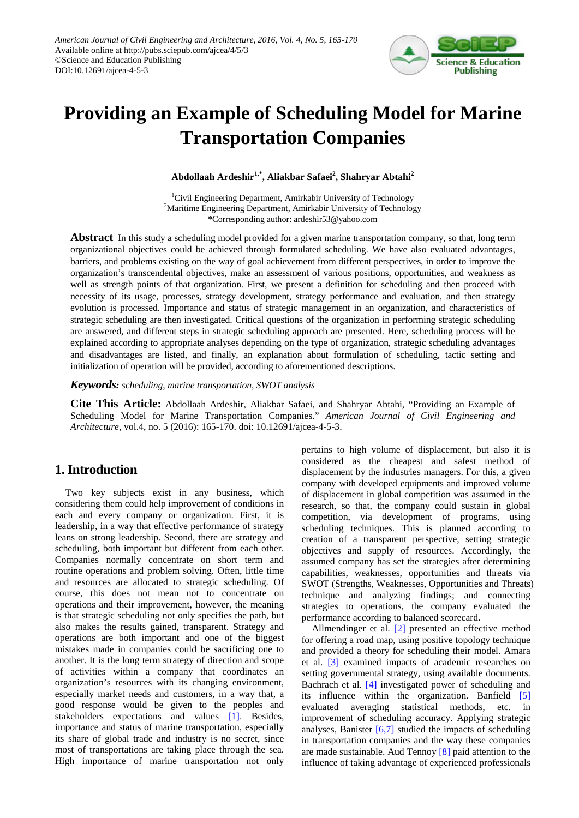

# **Providing an Example of Scheduling Model for Marine Transportation Companies**

**Abdollaah Ardeshir1,\*, Aliakbar Safaei2 , Shahryar Abtahi<sup>2</sup>**

<sup>1</sup>Civil Engineering Department, Amirkabir University of Technology <sup>2</sup>Maritime Engineering Department, Amirkabir University of Technology \*Corresponding author: ardeshir53@yahoo.com

**Abstract** In this study a scheduling model provided for a given marine transportation company, so that, long term organizational objectives could be achieved through formulated scheduling. We have also evaluated advantages, barriers, and problems existing on the way of goal achievement from different perspectives, in order to improve the organization's transcendental objectives, make an assessment of various positions, opportunities, and weakness as well as strength points of that organization. First, we present a definition for scheduling and then proceed with necessity of its usage, processes, strategy development, strategy performance and evaluation, and then strategy evolution is processed. Importance and status of strategic management in an organization, and characteristics of strategic scheduling are then investigated. Critical questions of the organization in performing strategic scheduling are answered, and different steps in strategic scheduling approach are presented. Here, scheduling process will be explained according to appropriate analyses depending on the type of organization, strategic scheduling advantages and disadvantages are listed, and finally, an explanation about formulation of scheduling, tactic setting and initialization of operation will be provided, according to aforementioned descriptions.

*Keywords: scheduling, marine transportation, SWOT analysis*

**Cite This Article:** Abdollaah Ardeshir, Aliakbar Safaei, and Shahryar Abtahi, "Providing an Example of Scheduling Model for Marine Transportation Companies." *American Journal of Civil Engineering and Architecture*, vol.4, no. 5 (2016): 165-170. doi: 10.12691/ajcea-4-5-3.

# **1. Introduction**

Two key subjects exist in any business, which considering them could help improvement of conditions in each and every company or organization. First, it is leadership, in a way that effective performance of strategy leans on strong leadership. Second, there are strategy and scheduling, both important but different from each other. Companies normally concentrate on short term and routine operations and problem solving. Often, little time and resources are allocated to strategic scheduling. Of course, this does not mean not to concentrate on operations and their improvement, however, the meaning is that strategic scheduling not only specifies the path, but also makes the results gained, transparent. Strategy and operations are both important and one of the biggest mistakes made in companies could be sacrificing one to another. It is the long term strategy of direction and scope of activities within a company that coordinates an organization's resources with its changing environment, especially market needs and customers, in a way that, a good response would be given to the peoples and stakeholders expectations and values [\[1\].](#page-5-0) Besides, importance and status of marine transportation, especially its share of global trade and industry is no secret, since most of transportations are taking place through the sea. High importance of marine transportation not only pertains to high volume of displacement, but also it is considered as the cheapest and safest method of displacement by the industries managers. For this, a given company with developed equipments and improved volume of displacement in global competition was assumed in the research, so that, the company could sustain in global competition, via development of programs, using scheduling techniques. This is planned according to creation of a transparent perspective, setting strategic objectives and supply of resources. Accordingly, the assumed company has set the strategies after determining capabilities, weaknesses, opportunities and threats via SWOT (Strengths, Weaknesses, Opportunities and Threats) technique and analyzing findings; and connecting strategies to operations, the company evaluated the performance according to balanced scorecard.

Allmendinger et al. [\[2\]](#page-5-1) presented an effective method for offering a road map, using positive topology technique and provided a theory for scheduling their model. Amara et al. [\[3\]](#page-5-2) examined impacts of academic researches on setting governmental strategy, using available documents. Bachrach et al. [\[4\]](#page-5-3) investigated power of scheduling and its influence within the organization. Banfield [\[5\]](#page-5-4) evaluated averaging statistical methods, etc. in improvement of scheduling accuracy. Applying strategic analyses, Banister  $[6,7]$  studied the impacts of scheduling in transportation companies and the way these companies are made sustainable. Aud Tennoy [\[8\]](#page-5-6) paid attention to the influence of taking advantage of experienced professionals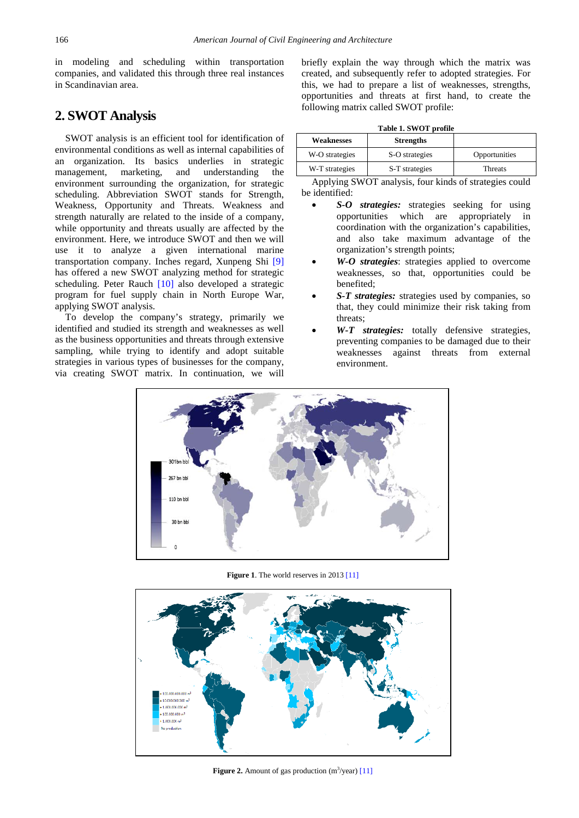in modeling and scheduling within transportation companies, and validated this through three real instances in Scandinavian area.

# **2. SWOT Analysis**

SWOT analysis is an efficient tool for identification of environmental conditions as well as internal capabilities of an organization. Its basics underlies in strategic management, marketing, and understanding the environment surrounding the organization, for strategic scheduling. Abbreviation SWOT stands for Strength, Weakness, Opportunity and Threats. Weakness and strength naturally are related to the inside of a company, while opportunity and threats usually are affected by the environment. Here, we introduce SWOT and then we will use it to analyze a given international marine transportation company. Inches regard, Xunpeng Shi [\[9\]](#page-5-7) has offered a new SWOT analyzing method for strategic scheduling. Peter Rauch [\[10\]](#page-5-8) also developed a strategic program for fuel supply chain in North Europe War, applying SWOT analysis.

<span id="page-1-0"></span>To develop the company's strategy, primarily we identified and studied its strength and weaknesses as well as the business opportunities and threats through extensive sampling, while trying to identify and adopt suitable strategies in various types of businesses for the company, via creating SWOT matrix. In continuation, we will briefly explain the way through which the matrix was created, and subsequently refer to adopted strategies. For this, we had to prepare a list of weaknesses, strengths, opportunities and threats at first hand, to create the following matrix called SWOT profile:

**Table 1. SWOT profile**

<span id="page-1-2"></span>

| <b>Weaknesses</b> | <b>Strengths</b> |               |
|-------------------|------------------|---------------|
| W-O strategies    | S-O strategies   | Opportunities |
| W-T strategies    | S-T strategies   | Threats       |

Applying SWOT analysis, four kinds of strategies could be identified:

- *S-O strategies:* strategies seeking for using opportunities which are appropriately in coordination with the organization's capabilities, and also take maximum advantage of the organization's strength points;
- *W-O strategies*: strategies applied to overcome weaknesses, so that, opportunities could be benefited;
- *S-T strategies:* strategies used by companies, so that, they could minimize their risk taking from threats;
- *W-T strategies:* totally defensive strategies, preventing companies to be damaged due to their weaknesses against threats from external environment.



Figure 1. The world reserves in 201[3 \[11\]](#page-5-9)

<span id="page-1-1"></span>

**Figure 2.** Amount of gas production  $(m^3$ /year) [\[11\]](#page-5-9)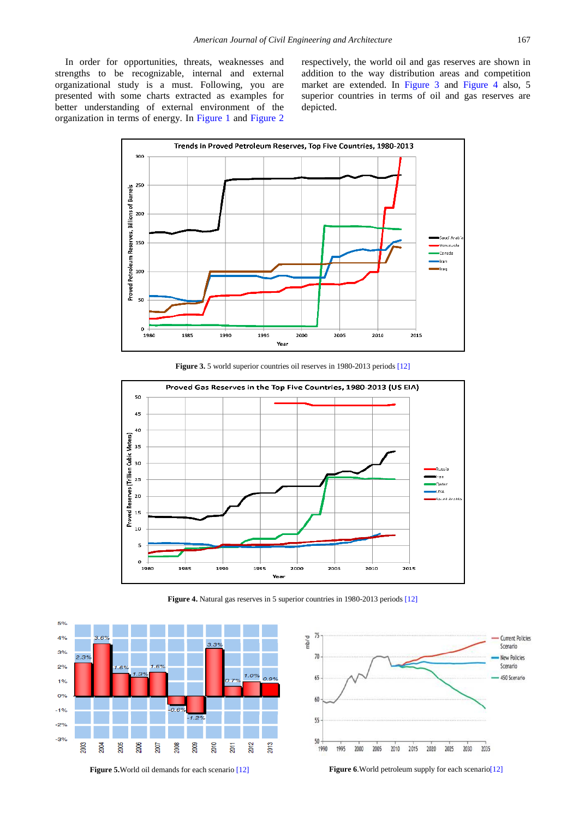In order for opportunities, threats, weaknesses and strengths to be recognizable, internal and external organizational study is a must. Following, you are presented with some charts extracted as examples for better understanding of external environment of the organization in terms of energy. In [Figure 1](#page-1-0) and [Figure 2](#page-1-1)

respectively, the world oil and gas reserves are shown in addition to the way distribution areas and competition market are extended. In [Figure 3](#page-2-0) and [Figure 4](#page-2-1) also, 5 superior countries in terms of oil and gas reserves are depicted.

<span id="page-2-0"></span>

**Figure 3.** 5 world superior countries oil reserves in 1980-2013 period[s \[12\]](#page-5-10)

<span id="page-2-1"></span>

**Figure 4.** Natural gas reserves in 5 superior countries in 1980-2013 period[s \[12\]](#page-5-10)

<span id="page-2-2"></span>

**Figure 5.** World oil demands for each scenario [\[12\]](#page-5-10) **Figure 6**. World petroleum supply for each scenario [12]

<span id="page-2-3"></span>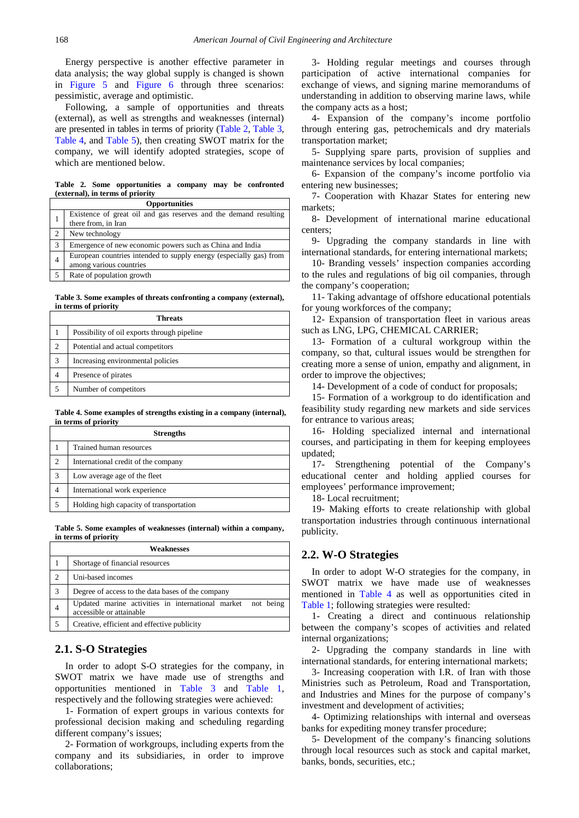Energy perspective is another effective parameter in data analysis; the way global supply is changed is shown in [Figure 5](#page-2-2) and [Figure 6](#page-2-3) through three scenarios: pessimistic, average and optimistic.

Following, a sample of opportunities and threats (external), as well as strengths and weaknesses (internal) are presented in tables in terms of priority [\(Table 2,](#page-3-0) [Table 3,](#page-3-1) [Table 4,](#page-3-2) and [Table 5\)](#page-3-3), then creating SWOT matrix for the company, we will identify adopted strategies, scope of which are mentioned below.

**Table 2. Some opportunities a company may be confronted (external), in terms of priority**

<span id="page-3-0"></span>

| <b>Opportunities</b> |                                                                                               |  |  |  |
|----------------------|-----------------------------------------------------------------------------------------------|--|--|--|
|                      | Existence of great oil and gas reserves and the demand resulting<br>there from, in Iran       |  |  |  |
|                      | New technology                                                                                |  |  |  |
| 3                    | Emergence of new economic powers such as China and India                                      |  |  |  |
| $\overline{4}$       | European countries intended to supply energy (especially gas) from<br>among various countries |  |  |  |
|                      | Rate of population growth                                                                     |  |  |  |

**Table 3. Some examples of threats confronting a company (external), in terms of priority**

<span id="page-3-1"></span>

| Threats |                                             |  |
|---------|---------------------------------------------|--|
|         | Possibility of oil exports through pipeline |  |
| 2       | Potential and actual competitors            |  |
| 3       | Increasing environmental policies           |  |
|         | Presence of pirates                         |  |
|         | Number of competitors                       |  |

**Table 4. Some examples of strengths existing in a company (internal), in terms of priority**

<span id="page-3-2"></span>

| <b>Strengths</b> |                                         |  |
|------------------|-----------------------------------------|--|
|                  | Trained human resources                 |  |
| 2                | International credit of the company     |  |
| 3                | Low average age of the fleet            |  |
| 4                | International work experience           |  |
|                  | Holding high capacity of transportation |  |

**Table 5. Some examples of weaknesses (internal) within a company, in terms of priority**

<span id="page-3-3"></span>

| Weaknesses |                                                                                            |  |  |  |
|------------|--------------------------------------------------------------------------------------------|--|--|--|
|            | Shortage of financial resources                                                            |  |  |  |
| 2          | Uni-based incomes                                                                          |  |  |  |
| 3          | Degree of access to the data bases of the company                                          |  |  |  |
|            | Updated marine activities in international market<br>not being<br>accessible or attainable |  |  |  |
|            | Creative, efficient and effective publicity                                                |  |  |  |

#### **2.1. S-O Strategies**

In order to adopt S-O strategies for the company, in SWOT matrix we have made use of strengths and opportunities mentioned in [Table 3](#page-3-1) and [Table 1,](#page-1-2) respectively and the following strategies were achieved:

1- Formation of expert groups in various contexts for professional decision making and scheduling regarding different company's issues;

2- Formation of workgroups, including experts from the company and its subsidiaries, in order to improve collaborations;

3- Holding regular meetings and courses through participation of active international companies for exchange of views, and signing marine memorandums of understanding in addition to observing marine laws, while the company acts as a host;

4- Expansion of the company's income portfolio through entering gas, petrochemicals and dry materials transportation market;

5- Supplying spare parts, provision of supplies and maintenance services by local companies;

6- Expansion of the company's income portfolio via entering new businesses;

7- Cooperation with Khazar States for entering new markets;

8- Development of international marine educational centers;

9- Upgrading the company standards in line with international standards, for entering international markets;

10- Branding vessels' inspection companies according to the rules and regulations of big oil companies, through the company's cooperation;

11- Taking advantage of offshore educational potentials for young workforces of the company;

12- Expansion of transportation fleet in various areas such as LNG, LPG, CHEMICAL CARRIER;

13- Formation of a cultural workgroup within the company, so that, cultural issues would be strengthen for creating more a sense of union, empathy and alignment, in order to improve the objectives;

14- Development of a code of conduct for proposals;

15- Formation of a workgroup to do identification and feasibility study regarding new markets and side services for entrance to various areas;

16- Holding specialized internal and international courses, and participating in them for keeping employees updated;

17- Strengthening potential of the Company's educational center and holding applied courses for employees' performance improvement;

18- Local recruitment;

19- Making efforts to create relationship with global transportation industries through continuous international publicity.

#### **2.2. W-O Strategies**

In order to adopt W-O strategies for the company, in SWOT matrix we have made use of weaknesses mentioned in [Table 4](#page-3-2) as well as opportunities cited in [Table 1;](#page-1-2) following strategies were resulted:

1- Creating a direct and continuous relationship between the company's scopes of activities and related internal organizations;

2- Upgrading the company standards in line with international standards, for entering international markets;

3- Increasing cooperation with I.R. of Iran with those Ministries such as Petroleum, Road and Transportation, and Industries and Mines for the purpose of company's investment and development of activities;

4- Optimizing relationships with internal and overseas banks for expediting money transfer procedure;

5- Development of the company's financing solutions through local resources such as stock and capital market, banks, bonds, securities, etc.;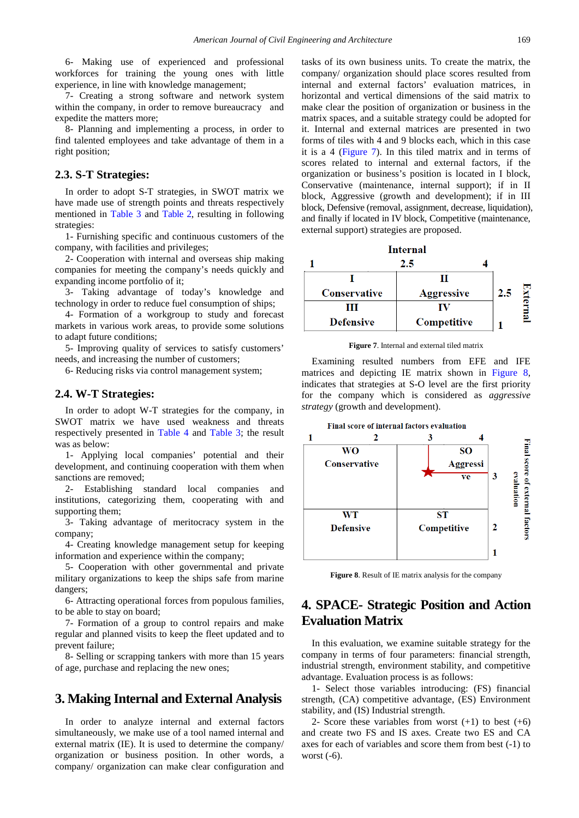6- Making use of experienced and professional workforces for training the young ones with little experience, in line with knowledge management;

7- Creating a strong software and network system within the company, in order to remove bureaucracy and expedite the matters more;

8- Planning and implementing a process, in order to find talented employees and take advantage of them in a right position;

#### **2.3. S-T Strategies:**

In order to adopt S-T strategies, in SWOT matrix we have made use of strength points and threats respectively mentioned in [Table 3](#page-3-1) and [Table 2,](#page-3-0) resulting in following strategies:

1- Furnishing specific and continuous customers of the company, with facilities and privileges;

2- Cooperation with internal and overseas ship making companies for meeting the company's needs quickly and expanding income portfolio of it;

3- Taking advantage of today's knowledge and technology in order to reduce fuel consumption of ships;

4- Formation of a workgroup to study and forecast markets in various work areas, to provide some solutions to adapt future conditions;

5- Improving quality of services to satisfy customers' needs, and increasing the number of customers;

6- Reducing risks via control management system;

#### **2.4. W-T Strategies:**

In order to adopt W-T strategies for the company, in SWOT matrix we have used weakness and threats respectively presented in [Table 4](#page-3-2) and [Table 3;](#page-3-1) the result was as below:

1- Applying local companies' potential and their development, and continuing cooperation with them when sanctions are removed;

2- Establishing standard local companies and institutions, categorizing them, cooperating with and supporting them;

3- Taking advantage of meritocracy system in the company;

4- Creating knowledge management setup for keeping information and experience within the company;

5- Cooperation with other governmental and private military organizations to keep the ships safe from marine dangers;

6- Attracting operational forces from populous families, to be able to stay on board;

7- Formation of a group to control repairs and make regular and planned visits to keep the fleet updated and to prevent failure;

8- Selling or scrapping tankers with more than 15 years of age, purchase and replacing the new ones;

# **3. Making Internal and External Analysis**

In order to analyze internal and external factors simultaneously, we make use of a tool named internal and external matrix (IE). It is used to determine the company/ organization or business position. In other words, a company/ organization can make clear configuration and tasks of its own business units. To create the matrix, the company/ organization should place scores resulted from internal and external factors' evaluation matrices, in horizontal and vertical dimensions of the said matrix to make clear the position of organization or business in the matrix spaces, and a suitable strategy could be adopted for it. Internal and external matrices are presented in two forms of tiles with 4 and 9 blocks each, which in this case it is a 4 [\(Figure 7\)](#page-4-0). In this tiled matrix and in terms of scores related to internal and external factors, if the organization or business's position is located in I block, Conservative (maintenance, internal support); if in II block, Aggressive (growth and development); if in III block, Defensive (removal, assignment, decrease, liquidation), and finally if located in IV block, Competitive (maintenance, external support) strategies are proposed.

<span id="page-4-0"></span>

**Figure 7**. Internal and external tiled matrix

Examining resulted numbers from EFE and IFE matrices and depicting IE matrix shown in [Figure 8,](#page-4-1) indicates that strategies at S-O level are the first priority for the company which is considered as *aggressive strategy* (growth and development).

<span id="page-4-1"></span>

**Figure 8**. Result of IE matrix analysis for the company

# **4. SPACE- Strategic Position and Action Evaluation Matrix**

In this evaluation, we examine suitable strategy for the company in terms of four parameters: financial strength, industrial strength, environment stability, and competitive advantage. Evaluation process is as follows:

1- Select those variables introducing: (FS) financial strength, (CA) competitive advantage, (ES) Environment stability, and (IS) Industrial strength.

2- Score these variables from worst  $(+1)$  to best  $(+6)$ and create two FS and IS axes. Create two ES and CA axes for each of variables and score them from best (-1) to worst (-6).